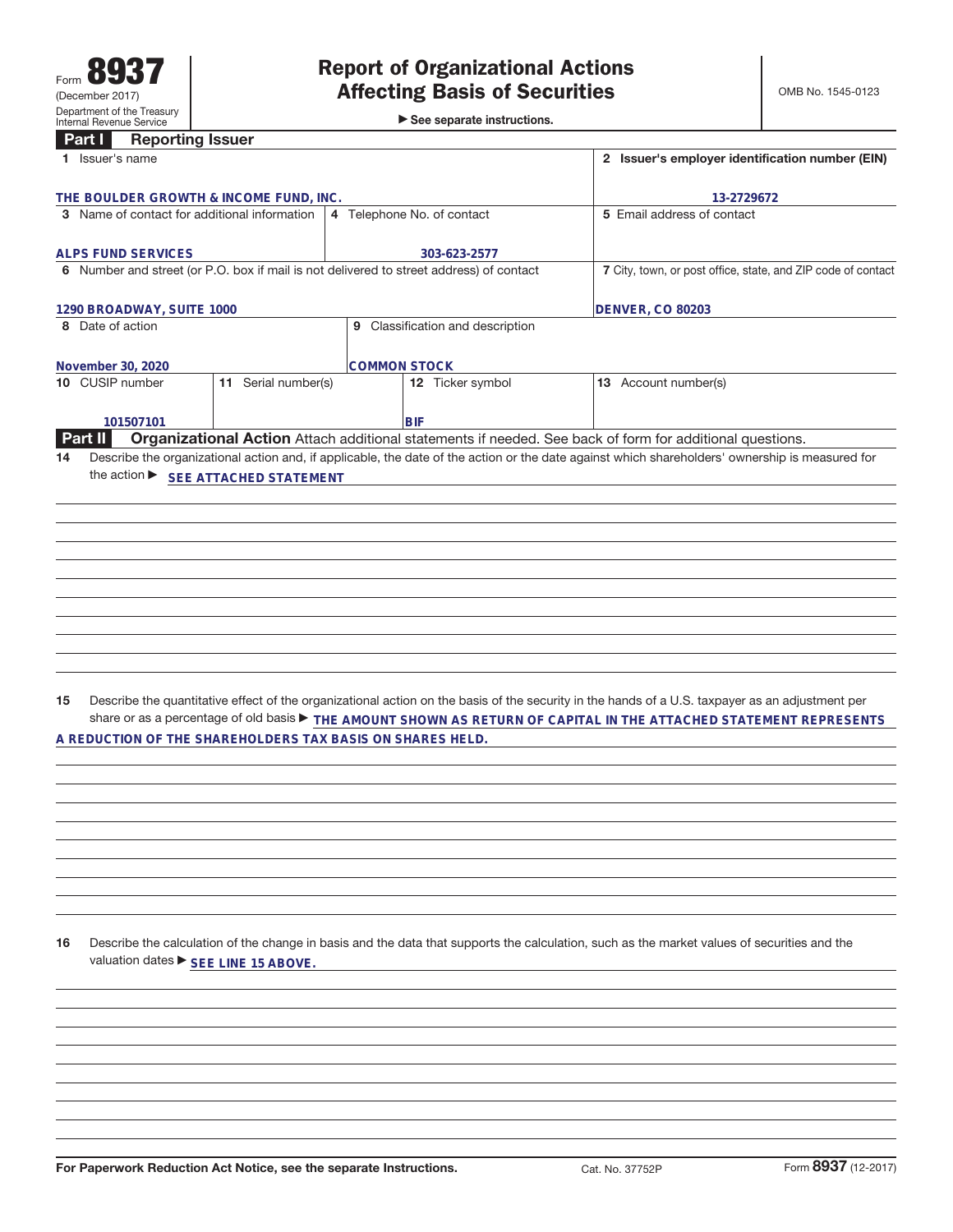►<br>► See separate instructions.

## **Part I Reporting Issuer**

| Part I<br><b>Reporting issuer</b>                                                       |                                                              |                                                                                                                                                                                                                                                                                           |
|-----------------------------------------------------------------------------------------|--------------------------------------------------------------|-------------------------------------------------------------------------------------------------------------------------------------------------------------------------------------------------------------------------------------------------------------------------------------------|
| 1 Issuer's name                                                                         |                                                              | 2 Issuer's employer identification number (EIN)                                                                                                                                                                                                                                           |
| THE BOULDER GROWTH & INCOME FUND, INC.                                                  |                                                              | 13-2729672                                                                                                                                                                                                                                                                                |
| 3 Name of contact for additional information                                            | 4 Telephone No. of contact                                   | 5 Email address of contact                                                                                                                                                                                                                                                                |
|                                                                                         |                                                              |                                                                                                                                                                                                                                                                                           |
| <b>ALPS FUND SERVICES</b>                                                               | 303-623-2577                                                 |                                                                                                                                                                                                                                                                                           |
| 6 Number and street (or P.O. box if mail is not delivered to street address) of contact | 7 City, town, or post office, state, and ZIP code of contact |                                                                                                                                                                                                                                                                                           |
|                                                                                         |                                                              |                                                                                                                                                                                                                                                                                           |
| 1290 BROADWAY, SUITE 1000                                                               |                                                              | <b>DENVER, CO 80203</b>                                                                                                                                                                                                                                                                   |
| 8 Date of action                                                                        | 9 Classification and description                             |                                                                                                                                                                                                                                                                                           |
|                                                                                         |                                                              |                                                                                                                                                                                                                                                                                           |
| November 30, 2020<br>11 Serial number(s)<br>10 CUSIP number                             | <b>COMMON STOCK</b><br>12 Ticker symbol                      | 13 Account number(s)                                                                                                                                                                                                                                                                      |
|                                                                                         |                                                              |                                                                                                                                                                                                                                                                                           |
| 101507101                                                                               | <b>BIF</b>                                                   |                                                                                                                                                                                                                                                                                           |
| Part II                                                                                 |                                                              | Organizational Action Attach additional statements if needed. See back of form for additional questions.                                                                                                                                                                                  |
| 14                                                                                      |                                                              | Describe the organizational action and, if applicable, the date of the action or the date against which shareholders' ownership is measured for                                                                                                                                           |
| the action ▶ SEE ATTACHED STATEMENT                                                     |                                                              |                                                                                                                                                                                                                                                                                           |
|                                                                                         |                                                              |                                                                                                                                                                                                                                                                                           |
|                                                                                         |                                                              |                                                                                                                                                                                                                                                                                           |
|                                                                                         |                                                              |                                                                                                                                                                                                                                                                                           |
|                                                                                         |                                                              |                                                                                                                                                                                                                                                                                           |
|                                                                                         |                                                              |                                                                                                                                                                                                                                                                                           |
|                                                                                         |                                                              |                                                                                                                                                                                                                                                                                           |
|                                                                                         |                                                              |                                                                                                                                                                                                                                                                                           |
|                                                                                         |                                                              |                                                                                                                                                                                                                                                                                           |
|                                                                                         |                                                              |                                                                                                                                                                                                                                                                                           |
|                                                                                         |                                                              |                                                                                                                                                                                                                                                                                           |
|                                                                                         |                                                              |                                                                                                                                                                                                                                                                                           |
| 15<br>A REDUCTION OF THE SHAREHOLDERS TAX BASIS ON SHARES HELD.                         |                                                              | Describe the quantitative effect of the organizational action on the basis of the security in the hands of a U.S. taxpayer as an adjustment per<br>share or as a percentage of old basis $\blacktriangleright$ THE AMOUNT SHOWN AS RETURN OF CAPITAL IN THE ATTACHED STATEMENT REPRESENTS |
|                                                                                         |                                                              |                                                                                                                                                                                                                                                                                           |
|                                                                                         |                                                              |                                                                                                                                                                                                                                                                                           |
|                                                                                         |                                                              |                                                                                                                                                                                                                                                                                           |
|                                                                                         |                                                              |                                                                                                                                                                                                                                                                                           |
|                                                                                         |                                                              |                                                                                                                                                                                                                                                                                           |
|                                                                                         |                                                              |                                                                                                                                                                                                                                                                                           |
|                                                                                         |                                                              |                                                                                                                                                                                                                                                                                           |
|                                                                                         |                                                              |                                                                                                                                                                                                                                                                                           |
|                                                                                         |                                                              |                                                                                                                                                                                                                                                                                           |
|                                                                                         |                                                              |                                                                                                                                                                                                                                                                                           |
| 16<br>valuation dates ▶ SEE LINE 15 ABOVE.                                              |                                                              | Describe the calculation of the change in basis and the data that supports the calculation, such as the market values of securities and the                                                                                                                                               |
|                                                                                         |                                                              |                                                                                                                                                                                                                                                                                           |
|                                                                                         |                                                              |                                                                                                                                                                                                                                                                                           |
|                                                                                         |                                                              |                                                                                                                                                                                                                                                                                           |
|                                                                                         |                                                              |                                                                                                                                                                                                                                                                                           |
|                                                                                         |                                                              |                                                                                                                                                                                                                                                                                           |
|                                                                                         |                                                              |                                                                                                                                                                                                                                                                                           |
|                                                                                         |                                                              |                                                                                                                                                                                                                                                                                           |
|                                                                                         |                                                              |                                                                                                                                                                                                                                                                                           |
|                                                                                         |                                                              |                                                                                                                                                                                                                                                                                           |
|                                                                                         |                                                              |                                                                                                                                                                                                                                                                                           |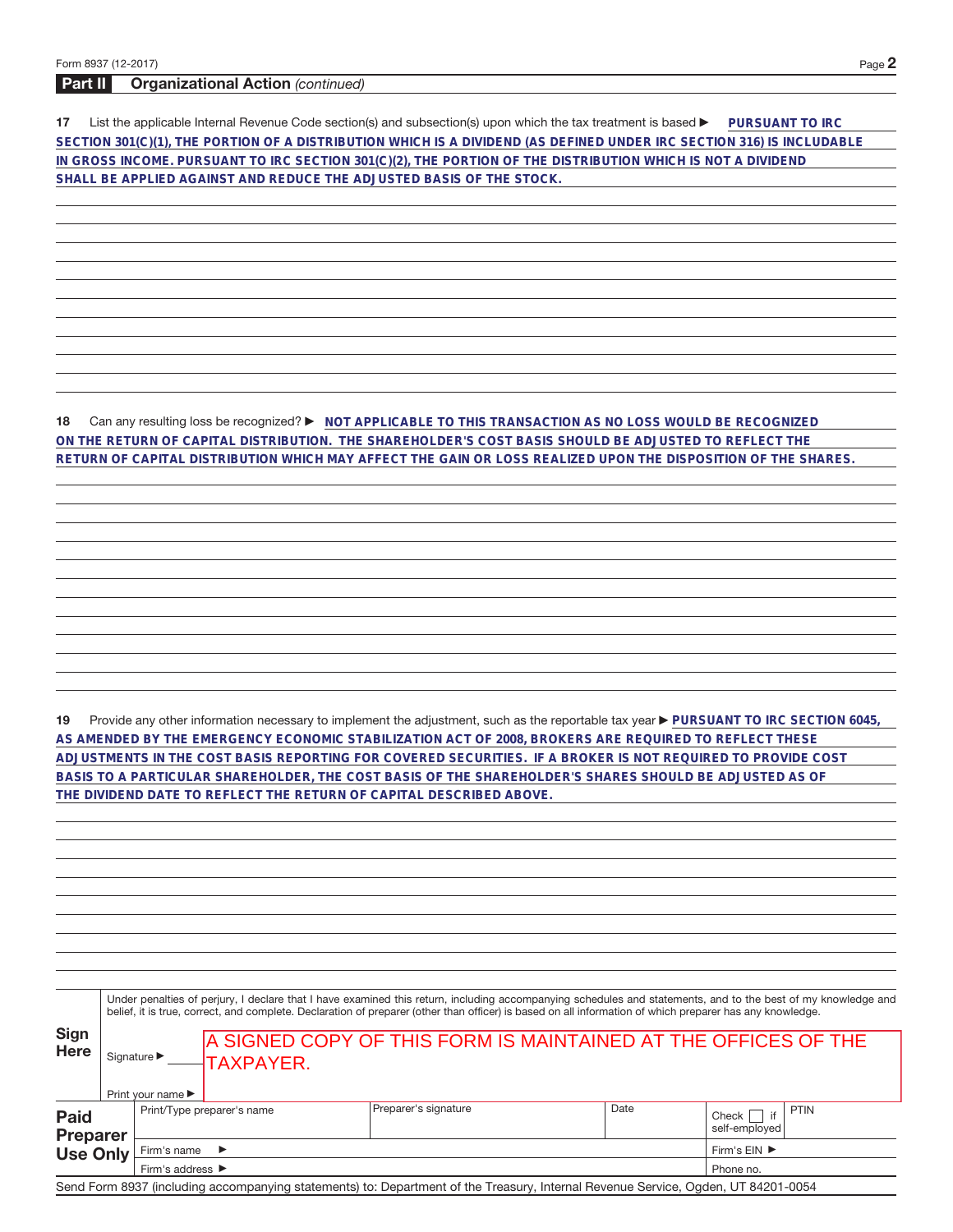## **Part II Organizational Action** (continued)

**17** List the applicable Internal Revenue Code section(s) and subsection(s) upon which the tax treatment is based **DuRSUANT TO IRC SECTION 301(C)(1), THE PORTION OF A DISTRIBUTION WHICH IS A DIVIDEND (AS DEFINED UNDER IRC SECTION 316) IS INCLUDABLE IN GROSS INCOME. PURSUANT TO IRC SECTION 301(C)(2), THE PORTION OF THE DISTRIBUTION WHICH IS NOT A DIVIDEND SHALL BE APPLIED AGAINST AND REDUCE THE ADJUSTED BASIS OF THE STOCK.**

**18** Can any resulting loss be recognized? ▶ NOT APPLICABLE TO THIS TRANSACTION AS NO LOSS WOULD BE RECOGNIZED **ON THE RETURN OF CAPITAL DISTRIBUTION. THE SHAREHOLDER'S COST BASIS SHOULD BE ADJUSTED TO REFLECT THE RETURN OF CAPITAL DISTRIBUTION WHICH MAY AFFECT THE GAIN OR LOSS REALIZED UPON THE DISPOSITION OF THE SHARES.**

19 Provide any other information necessary to implement the adjustment, such as the reportable tax year **PURSUANT TO IRC SECTION 6045**, **AS AMENDED BY THE EMERGENCY ECONOMIC STABILIZATION ACT OF 2008, BROKERS ARE REQUIRED TO REFLECT THESE ADJUSTMENTS IN THE COST BASIS REPORTING FOR COVERED SECURITIES. IF A BROKER IS NOT REQUIRED TO PROVIDE COST BASIS TO A PARTICULAR SHAREHOLDER, THE COST BASIS OF THE SHAREHOLDER'S SHARES SHOULD BE ADJUSTED AS OF THE DIVIDEND DATE TO REFLECT THE RETURN OF CAPITAL DESCRIBED ABOVE.**

|                                            | Under penalties of perjury, I declare that I have examined this return, including accompanying schedules and statements, and to the best of my knowledge and<br>belief, it is true, correct, and complete. Declaration of preparer (other than officer) is based on all information of which preparer has any knowledge. |                                                                          |             |                                                                                                                                   |      |                                                   |  |  |
|--------------------------------------------|--------------------------------------------------------------------------------------------------------------------------------------------------------------------------------------------------------------------------------------------------------------------------------------------------------------------------|--------------------------------------------------------------------------|-------------|-----------------------------------------------------------------------------------------------------------------------------------|------|---------------------------------------------------|--|--|
| <b>Sign</b><br><b>Here</b>                 |                                                                                                                                                                                                                                                                                                                          | Signature $\blacktriangleright$<br>Print your name $\blacktriangleright$ | -ITAXPAYER. | A SIGNED COPY OF THIS FORM IS MAINTAINED AT THE OFFICES OF THE                                                                    |      |                                                   |  |  |
| <b>Paid</b><br>Preparer<br><b>Use Only</b> |                                                                                                                                                                                                                                                                                                                          | Print/Type preparer's name                                               |             | Preparer's signature                                                                                                              | Date | <b>PTIN</b><br>if<br>$Check$    <br>self-emploved |  |  |
|                                            |                                                                                                                                                                                                                                                                                                                          | Firm's name<br>$\rightarrow$                                             |             |                                                                                                                                   |      | Firm's EIN ▶                                      |  |  |
|                                            |                                                                                                                                                                                                                                                                                                                          | Firm's address $\blacktriangleright$                                     |             |                                                                                                                                   |      | Phone no.                                         |  |  |
|                                            |                                                                                                                                                                                                                                                                                                                          |                                                                          |             | Send Form 8937 (including accompanying statements) to: Department of the Treasury, Internal Revenue Service, Ogden, UT 84201-0054 |      |                                                   |  |  |